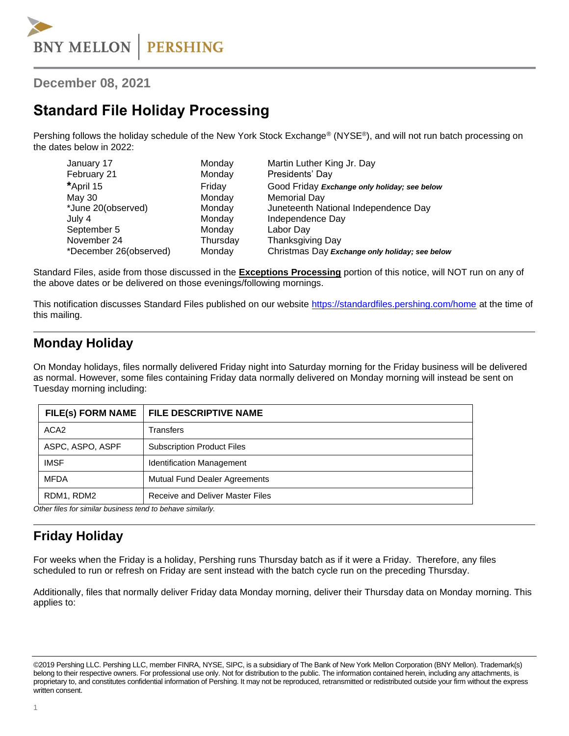**December 08, 2021**

## **Standard File Holiday Processing**

Pershing follows the holiday schedule of the New York Stock Exchange® (NYSE®), and will not run batch processing on the dates below in 2022:

| January 17             | Monday   | Martin Luther King Jr. Day                     |
|------------------------|----------|------------------------------------------------|
| February 21            | Monday   | Presidents' Day                                |
| *April 15              | Friday   | Good Friday Exchange only holiday; see below   |
| May 30                 | Monday   | Memorial Day                                   |
| *June 20(observed)     | Monday   | Juneteenth National Independence Day           |
| July 4                 | Monday   | Independence Day                               |
| September 5            | Monday   | Labor Day                                      |
| November 24            | Thursday | Thanksgiving Day                               |
| *December 26(observed) | Monday   | Christmas Day Exchange only holiday; see below |

Standard Files, aside from those discussed in the **Exceptions Processing** portion of this notice, will NOT run on any of the above dates or be delivered on those evenings/following mornings.

This notification discusses Standard Files published on our website<https://standardfiles.pershing.com/home> at the time of this mailing.

### **Monday Holiday**

On Monday holidays, files normally delivered Friday night into Saturday morning for the Friday business will be delivered as normal. However, some files containing Friday data normally delivered on Monday morning will instead be sent on Tuesday morning including:

| <b>FILE DESCRIPTIVE NAME</b>                              |
|-----------------------------------------------------------|
| Transfers                                                 |
| <b>Subscription Product Files</b>                         |
| <b>Identification Management</b>                          |
| <b>Mutual Fund Dealer Agreements</b>                      |
| Receive and Deliver Master Files                          |
| Other files for similar business tond to behave similarly |

*Other files for similar business tend to behave similarly.*

### **Friday Holiday**

For weeks when the Friday is a holiday, Pershing runs Thursday batch as if it were a Friday. Therefore, any files scheduled to run or refresh on Friday are sent instead with the batch cycle run on the preceding Thursday.

Additionally, files that normally deliver Friday data Monday morning, deliver their Thursday data on Monday morning. This applies to:

<sup>©2019</sup> Pershing LLC. Pershing LLC, member FINRA, NYSE, SIPC, is a subsidiary of The Bank of New York Mellon Corporation (BNY Mellon). Trademark(s) belong to their respective owners. For professional use only. Not for distribution to the public. The information contained herein, including any attachments, is proprietary to, and constitutes confidential information of Pershing. It may not be reproduced, retransmitted or redistributed outside your firm without the express written consent.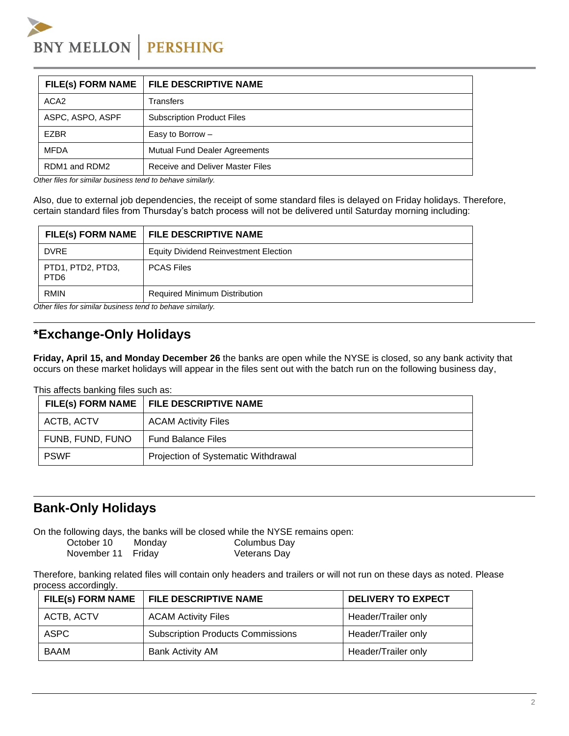**BNY MELLON PERSHING** 

| <b>FILE DESCRIPTIVE NAME</b>         |
|--------------------------------------|
| Transfers                            |
| <b>Subscription Product Files</b>    |
| Easy to Borrow -                     |
| <b>Mutual Fund Dealer Agreements</b> |
| Receive and Deliver Master Files     |
|                                      |

*Other files for similar business tend to behave similarly.* 

Also, due to external job dependencies, the receipt of some standard files is delayed on Friday holidays. Therefore, certain standard files from Thursday's batch process will not be delivered until Saturday morning including:

|                                                                                                                                | FILE(s) FORM NAME   FILE DESCRIPTIVE NAME    |  |
|--------------------------------------------------------------------------------------------------------------------------------|----------------------------------------------|--|
| <b>DVRE</b>                                                                                                                    | <b>Equity Dividend Reinvestment Election</b> |  |
| PTD1, PTD2, PTD3,<br>PTD <sub>6</sub>                                                                                          | <b>PCAS Files</b>                            |  |
| <b>RMIN</b><br>○ the conflict of concentration to concentrate the theory of the float of the float of the float of the float o | <b>Required Minimum Distribution</b>         |  |

*Other files for similar business tend to behave similarly.* 

#### **\*Exchange-Only Holidays**

**Friday, April 15, and Monday December 26** the banks are open while the NYSE is closed, so any bank activity that occurs on these market holidays will appear in the files sent out with the batch run on the following business day,

This affects banking files such as:

|                  | FILE(s) FORM NAME   FILE DESCRIPTIVE NAME |
|------------------|-------------------------------------------|
| ACTB, ACTV       | <b>ACAM Activity Files</b>                |
| FUNB, FUND, FUNO | <b>Fund Balance Files</b>                 |
| <b>PSWF</b>      | Projection of Systematic Withdrawal       |

### **Bank-Only Holidays**

On the following days, the banks will be closed while the NYSE remains open:

| October 10         | Monday | <b>Columbus Day</b> |
|--------------------|--------|---------------------|
| November 11 Friday |        | Veterans Day        |

Therefore, banking related files will contain only headers and trailers or will not run on these days as noted. Please process accordingly.

|            | FILE(s) FORM NAME   FILE DESCRIPTIVE NAME | <b>DELIVERY TO EXPECT</b> |
|------------|-------------------------------------------|---------------------------|
| ACTB, ACTV | <b>ACAM Activity Files</b>                | Header/Trailer only       |
| ASPC       | <b>Subscription Products Commissions</b>  | Header/Trailer only       |
| BAAM       | <b>Bank Activity AM</b>                   | Header/Trailer only       |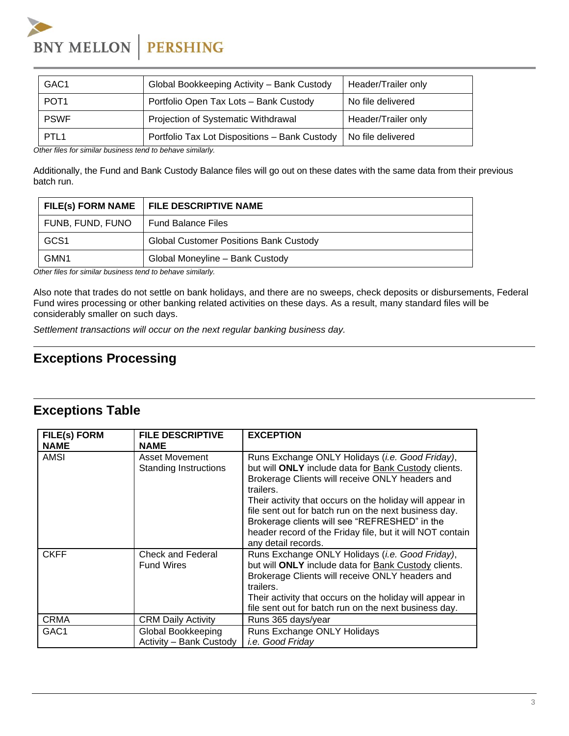# **BNY MELLON PERSHING**

| GAC <sub>1</sub> | Global Bookkeeping Activity - Bank Custody    | Header/Trailer only |
|------------------|-----------------------------------------------|---------------------|
| POT <sub>1</sub> | Portfolio Open Tax Lots - Bank Custody        | No file delivered   |
| <b>PSWF</b>      | Projection of Systematic Withdrawal           | Header/Trailer only |
| PTL <sub>1</sub> | Portfolio Tax Lot Dispositions - Bank Custody | No file delivered   |

*Other files for similar business tend to behave similarly.* 

Additionally, the Fund and Bank Custody Balance files will go out on these dates with the same data from their previous batch run.

| <b>FILE(s) FORM NAME</b> | <b>FILE DESCRIPTIVE NAME</b>                  |
|--------------------------|-----------------------------------------------|
| FUNB, FUND, FUNO         | <b>Fund Balance Files</b>                     |
| GCS <sub>1</sub>         | <b>Global Customer Positions Bank Custody</b> |
| GMN <sub>1</sub>         | Global Moneyline - Bank Custody               |

*Other files for similar business tend to behave similarly.* 

Also note that trades do not settle on bank holidays, and there are no sweeps, check deposits or disbursements, Federal Fund wires processing or other banking related activities on these days. As a result, many standard files will be considerably smaller on such days.

*Settlement transactions will occur on the next regular banking business day.*

#### **Exceptions Processing**

### **Exceptions Table**

| <b>FILE(s) FORM</b><br><b>NAME</b> | <b>FILE DESCRIPTIVE</b><br><b>NAME</b>                | <b>EXCEPTION</b>                                                                                                                                                                                                                                                                                                                                                                                                                  |
|------------------------------------|-------------------------------------------------------|-----------------------------------------------------------------------------------------------------------------------------------------------------------------------------------------------------------------------------------------------------------------------------------------------------------------------------------------------------------------------------------------------------------------------------------|
| AMSI                               | <b>Asset Movement</b><br><b>Standing Instructions</b> | Runs Exchange ONLY Holidays (i.e. Good Friday),<br>but will ONLY include data for Bank Custody clients.<br>Brokerage Clients will receive ONLY headers and<br>trailers.<br>Their activity that occurs on the holiday will appear in<br>file sent out for batch run on the next business day.<br>Brokerage clients will see "REFRESHED" in the<br>header record of the Friday file, but it will NOT contain<br>any detail records. |
| <b>CKFF</b>                        | Check and Federal<br><b>Fund Wires</b>                | Runs Exchange ONLY Holidays ( <i>i.e. Good Friday</i> ),<br>but will ONLY include data for Bank Custody clients.<br>Brokerage Clients will receive ONLY headers and<br>trailers.<br>Their activity that occurs on the holiday will appear in<br>file sent out for batch run on the next business day.                                                                                                                             |
| <b>CRMA</b>                        | <b>CRM Daily Activity</b>                             | Runs 365 days/year                                                                                                                                                                                                                                                                                                                                                                                                                |
| GAC <sub>1</sub>                   | Global Bookkeeping<br>Activity - Bank Custody         | Runs Exchange ONLY Holidays<br><i>i.e.</i> Good Friday                                                                                                                                                                                                                                                                                                                                                                            |